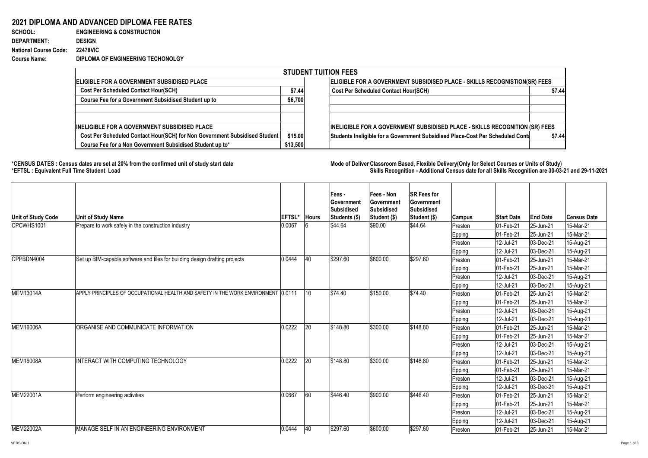## **2021 DIPLOMA AND ADVANCED DIPLOMA FEE RATES**

| <b>SCHOOL:</b>               | <b>ENGINEERING &amp; CONSTRUCTION</b> |
|------------------------------|---------------------------------------|
| <b>DEPARTMENT:</b>           | <b>DESIGN</b>                         |
| <b>National Course Code:</b> | <b>22478VIC</b>                       |
| <b>Course Name:</b>          | DIPLOMA OF ENGINEERING TECHONOLGY     |
|                              |                                       |

## \*CENSUS DATES : Census dates are set at 20% from the confirmed unit of study start date **Mode of Deliver Classroom Based, Flexible Delivery(Only for Select Courses or Units of Study) \*EFTSL : Equivalent Full Time Student Load Skills Recognition - Additional Census date for all Skills Recognition are 30-03-21 and 29-11-2021**

| <b>STUDENT TUITION FEES</b>                                                |          |                                                                                |        |  |  |  |  |  |  |
|----------------------------------------------------------------------------|----------|--------------------------------------------------------------------------------|--------|--|--|--|--|--|--|
| <b>ELIGIBLE FOR A GOVERNMENT SUBSIDISED PLACE</b>                          |          | ELIGIBLE FOR A GOVERNMENT SUBSIDISED PLACE - SKILLS RECOGNISTION(SR) FEES      |        |  |  |  |  |  |  |
| <b>Cost Per Scheduled Contact Hour(SCH)</b>                                | \$7.44   | <b>Cost Per Scheduled Contact Hour(SCH)</b>                                    | \$7.44 |  |  |  |  |  |  |
| <b>Course Fee for a Government Subsidised Student up to</b>                | \$6,700  |                                                                                |        |  |  |  |  |  |  |
|                                                                            |          |                                                                                |        |  |  |  |  |  |  |
|                                                                            |          |                                                                                |        |  |  |  |  |  |  |
| <b>INELIGIBLE FOR A GOVERNMENT SUBSIDISED PLACE</b>                        |          | INELIGIBLE FOR A GOVERNMENT SUBSIDISED PLACE - SKILLS RECOGNITION (SR) FEES    |        |  |  |  |  |  |  |
| Cost Per Scheduled Contact Hour(SCH) for Non Government Subsidised Student | \$15.00  | Students Ineligible for a Government Subsidised Place-Cost Per Scheduled Conta | \$7.44 |  |  |  |  |  |  |
| Course Fee for a Non Government Subsidised Student up to*                  | \$13,500 |                                                                                |        |  |  |  |  |  |  |

| Unit of Study Code | <b>Unit of Study Name</b>                                                          | <b>EFTSL'</b> | <b>Hours</b> | Fees -<br><b>Sovernment</b><br><b>Subsidised</b><br>Students (\$) | <b>Fees - Non</b><br><b>Government</b><br>Subsidised<br>Student (\$) | <b>SR Fees for</b><br>Government<br>Subsidised<br><b>Student (\$)</b> | <b>Campus</b> | <b>Start Date</b>        | <b>End Date</b> | <b>Census Date</b> |
|--------------------|------------------------------------------------------------------------------------|---------------|--------------|-------------------------------------------------------------------|----------------------------------------------------------------------|-----------------------------------------------------------------------|---------------|--------------------------|-----------------|--------------------|
| CPCWHS1001         | Prepare to work safely in the construction industry                                | 0.0067        |              | \$44.64                                                           | \$90.00                                                              | \$44.64                                                               | Preston       | 01-Feb-21                | 25-Jun-21       | 15-Mar-21          |
|                    |                                                                                    |               |              |                                                                   |                                                                      |                                                                       | <b>Epping</b> | 01-Feb-21                | 25-Jun-21       | 15-Mar-21          |
|                    |                                                                                    |               |              |                                                                   |                                                                      |                                                                       | Preston       | 12-Jul-21                | $ 03$ -Dec-21   | 15-Aug-21          |
|                    |                                                                                    |               |              |                                                                   |                                                                      |                                                                       | Epping        | 12-Jul-21                | $ 03 - Dec-21 $ | 15-Aug-21          |
| CPPBDN4004         | Set up BIM-capable software and files for building design drafting projects        | 0.0444        | 40           | \$297.60                                                          | \$600.00                                                             | \$297.60                                                              | Preston       | 01-Feb-21                | 25-Jun-21       | 15-Mar-21          |
|                    |                                                                                    |               |              |                                                                   |                                                                      |                                                                       | Epping        | 01-Feb-21                | $ 25 - Jun-21 $ | 15-Mar-21          |
|                    |                                                                                    |               |              |                                                                   |                                                                      |                                                                       | Preston       | 12-Jul-21                | $ 03$ -Dec-21   | 15-Aug-21          |
|                    |                                                                                    |               |              |                                                                   |                                                                      |                                                                       | <b>Epping</b> | 12-Jul-21                | $ 03$ -Dec-21   | 15-Aug-21          |
| MEM13014A          | APPLY PRINCIPLES OF OCCUPATIONAL HEALTH AND SAFETY IN THE WORK ENVIRONMENT 10.0111 |               | $\vert$ 10   | \$74.40                                                           | \$150.00                                                             | \$74.40                                                               | Preston       | $ 01 - Feb - 21 $        | 25-Jun-21       | 15-Mar-21          |
|                    |                                                                                    |               |              |                                                                   |                                                                      |                                                                       | <b>Epping</b> | $ 01 - Feb - 21 $        | 25-Jun-21       | 15-Mar-21          |
|                    |                                                                                    |               |              |                                                                   |                                                                      |                                                                       | Preston       | 12-Jul-21                | $ 03$ -Dec-21   | 15-Aug-21          |
|                    |                                                                                    |               |              |                                                                   |                                                                      |                                                                       | Epping        | 12-Jul-21                | $ 03$ -Dec-21   | 15-Aug-21          |
| <b>MEM16006A</b>   | ORGANISE AND COMMUNICATE INFORMATION                                               | 0.0222        | 20           | \$148.80                                                          | \$300.00                                                             | \$148.80                                                              | Preston       | 01-Feb-21                | $ 25 - Jun-21$  | 15-Mar-21          |
|                    |                                                                                    |               |              |                                                                   |                                                                      |                                                                       | Epping        | $ 01 - Feb - 21 $        | 25-Jun-21       | 15-Mar-21          |
|                    |                                                                                    |               |              |                                                                   |                                                                      |                                                                       | Preston       | 12-Jul-21                | $ 03$ -Dec-21   | 15-Aug-21          |
|                    |                                                                                    |               |              |                                                                   |                                                                      |                                                                       | Epping        | 12-Jul-21                | $ 03$ -Dec-21   | 15-Aug-21          |
| <b>MEM16008A</b>   | <b>INTERACT WITH COMPUTING TECHNOLOGY</b>                                          | 0.0222        | 20           | \$148.80                                                          | \$300.00                                                             | \$148.80                                                              | Preston       | $ 01 - Feb - 21 $        | 25-Jun-21       | 15-Mar-21          |
|                    |                                                                                    |               |              |                                                                   |                                                                      |                                                                       | <b>Epping</b> | 01-Feb-21                | 25-Jun-21       | 15-Mar-21          |
|                    |                                                                                    |               |              |                                                                   |                                                                      |                                                                       | Preston       | 12-Jul-21                | $ 03 - Dec-21 $ | 15-Aug-21          |
|                    |                                                                                    |               |              |                                                                   |                                                                      |                                                                       | Epping        | 12-Jul-21                | $ 03$ -Dec-21   | 15-Aug-21          |
| MEM22001A          | Perform engineering activities                                                     | 0.0667        | 60           | \$446.40                                                          | \$900.00                                                             | \$446.40                                                              | Preston       | $ 01 - \text{Feb} - 21 $ | $ 25 - Jun-21 $ | 15-Mar-21          |
|                    |                                                                                    |               |              |                                                                   |                                                                      |                                                                       | <b>Epping</b> | 01-Feb-21                | $ 25 - Jun-21 $ | 15-Mar-21          |
|                    |                                                                                    |               |              |                                                                   |                                                                      |                                                                       | Preston       | 12-Jul-21                | $ 03$ -Dec-21   | 15-Aug-21          |
|                    |                                                                                    |               |              |                                                                   |                                                                      |                                                                       | <b>Epping</b> | 12-Jul-21                | $ 03$ -Dec-21   | 15-Aug-21          |
| MEM22002A          | MANAGE SELF IN AN ENGINEERING ENVIRONMENT                                          | 0.0444        | $ 40\rangle$ | \$297.60                                                          | \$600.00                                                             | \$297.60                                                              | Preston       | $ 01 - Feb - 21 $        | $ 25 - Jun-21 $ | 15-Mar-21          |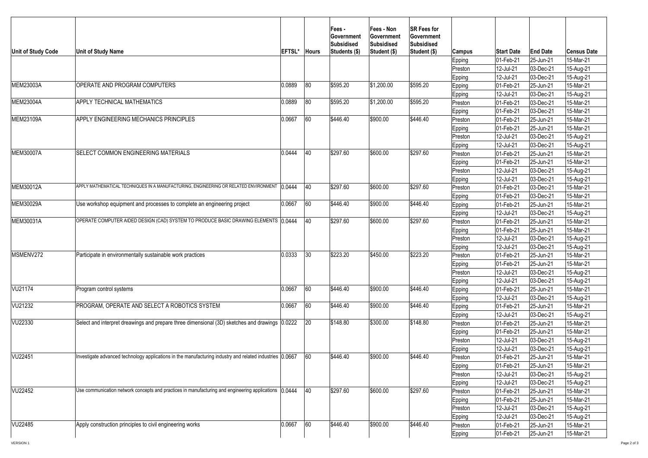| Unit of Study Code | <b>Unit of Study Name</b>                                                                                 | <b>EFTSL</b> | <b>Hours</b> | <b>Fees-</b><br><b>Sovernment</b><br><b>Subsidised</b><br>Students (\$) | Fees - Non<br><b>Government</b><br><b>Subsidised</b><br>Student (\$) | <b>SR Fees for</b><br>Government<br><b>Subsidised</b><br>Student (\$) | Campus<br><b>Epping</b><br> Preston | <b>Start Date</b><br>01-Feb-21<br>12-Jul-21 | <b>End Date</b><br>$ 25 - Jun-21 $<br>$ 03 - Dec-21$ | <b>Census Date</b><br>15-Mar-21<br>15-Aug-21 |
|--------------------|-----------------------------------------------------------------------------------------------------------|--------------|--------------|-------------------------------------------------------------------------|----------------------------------------------------------------------|-----------------------------------------------------------------------|-------------------------------------|---------------------------------------------|------------------------------------------------------|----------------------------------------------|
| MEM23003A          | OPERATE AND PROGRAM COMPUTERS                                                                             | 0.0889       | 80           | \$595.20                                                                | $ \$1,200.00$                                                        | \$595.20                                                              | <b>Epping</b>                       | 12-Jul-21<br> 01-Feb-21                     | $ 03 - Dec-21$<br>$ 25 - Jun-21$                     | 15-Aug-21<br>15-Mar-21                       |
|                    |                                                                                                           |              |              |                                                                         |                                                                      |                                                                       | Epping<br>Epping                    | 12-Jul-21                                   | $ 03 - Dec-21$                                       | 15-Aug-21                                    |
| MEM23004A          | <b>APPLY TECHNICAL MATHEMATICS</b>                                                                        | 0.0889       | 80           | \$595.20                                                                | $ \$1,200.00$                                                        | \$595.20                                                              | Preston                             | 01-Feb-21                                   | $ 03 - Dec-21$                                       | 15-Mar-21                                    |
|                    |                                                                                                           |              |              |                                                                         |                                                                      |                                                                       | Epping                              | 01-Feb-21                                   | $ 03 - Dec-21$                                       | 15-Mar-21                                    |
| MEM23109A          | APPLY ENGINEERING MECHANICS PRINCIPLES                                                                    | 0.0667       | 60           | \$446.40                                                                | \$900.00                                                             | \$446.40                                                              | Preston                             | 01-Feb-21                                   | 25-Jun-21                                            | 15-Mar-21                                    |
|                    |                                                                                                           |              |              |                                                                         |                                                                      |                                                                       | Epping                              | 01-Feb-21                                   | $ 25 - Jun-21 $                                      | 15-Mar-21                                    |
|                    |                                                                                                           |              |              |                                                                         |                                                                      |                                                                       | Preston                             | 12-Jul-21                                   | $ 03$ -Dec-21                                        | 15-Aug-21                                    |
|                    |                                                                                                           |              |              |                                                                         |                                                                      |                                                                       | Epping                              | 12-Jul-21                                   | $ 03 - Dec-21$                                       | 15-Aug-21                                    |
| <b>MEM30007A</b>   | <b>ISELECT COMMON ENGINEERING MATERIALS</b>                                                               | 0.0444       | 40           | \$297.60                                                                | \$600.00                                                             | \$297.60                                                              | Preston                             | 01-Feb-21                                   | $ 25 - Jun-21 $                                      | 15-Mar-21                                    |
|                    |                                                                                                           |              |              |                                                                         |                                                                      |                                                                       | Epping                              | 01-Feb-21                                   | $ 25 - Jun-21 $                                      | 15-Mar-21                                    |
|                    |                                                                                                           |              |              |                                                                         |                                                                      |                                                                       | Preston                             | 12-Jul-21                                   | $ 03 - Dec-21 $                                      | 15-Aug-21                                    |
|                    |                                                                                                           |              |              |                                                                         |                                                                      |                                                                       | Epping                              | 12-Jul-21                                   | $ 03 - Dec-21$                                       | 15-Aug-21                                    |
| MEM30012A          | APPLY MATHEMATICAL TECHNIQUES IN A MANUFACTURING, ENGINEERING OR RELATED ENVIRONMENT   0.0444             |              | 40           | \$297.60                                                                | \$600.00                                                             | \$297.60                                                              | Preston                             | 01-Feb-21                                   | $ 03 - Dec-21$                                       | 15-Mar-21                                    |
|                    |                                                                                                           |              |              |                                                                         |                                                                      |                                                                       | Epping                              | 01-Feb-21                                   | $ 03 - Dec-21$                                       | 15-Mar-21                                    |
| MEM30029A          | Use workshop equipment and processes to complete an engineering project                                   | 0.0667       | 60           | \$446.40                                                                | \$900.00                                                             | \$446.40                                                              | <b>Epping</b>                       | 01-Feb-21                                   | $ 25 - Jun-21$                                       | 15-Mar-21                                    |
|                    |                                                                                                           |              |              |                                                                         |                                                                      |                                                                       | Epping                              | 12-Jul-21                                   | $ 03 - Dec-21$                                       | 15-Aug-21                                    |
| MEM30031A          | OPERATE COMPUTER AIDED DESIGN (CAD) SYSTEM TO PRODUCE BASIC DRAWING ELEMENTS 10.0444                      |              | <b>40</b>    | \$297.60                                                                | \$600.00                                                             | \$297.60                                                              | Preston                             | 01-Feb-21                                   | $ 25 - Jun-21$                                       | 15-Mar-21                                    |
|                    |                                                                                                           |              |              |                                                                         |                                                                      |                                                                       | <b>Epping</b>                       | 01-Feb-21                                   | $ 25 - Jun-21$                                       | 15-Mar-21                                    |
|                    |                                                                                                           |              |              |                                                                         |                                                                      |                                                                       | Preston                             | 12-Jul-21                                   | $ 03 - Dec-21$                                       | 15-Aug-21                                    |
|                    |                                                                                                           |              |              |                                                                         |                                                                      |                                                                       | <b>Epping</b>                       | 12-Jul-21                                   | $ 03 - Dec-21$                                       | 15-Aug-21                                    |
| MSMENV272          | Participate in environmentally sustainable work practices                                                 | 0.0333       | 30           | \$223.20                                                                | \$450.00                                                             | \$223.20                                                              | Preston                             | 01-Feb-21                                   | $ 25 - Jun-21 $                                      | 15-Mar-21                                    |
|                    |                                                                                                           |              |              |                                                                         |                                                                      |                                                                       | Epping                              | 01-Feb-21                                   | $ 25 - Jun-21$                                       | 15-Mar-21                                    |
|                    |                                                                                                           |              |              |                                                                         |                                                                      |                                                                       | Preston                             | 12-Jul-21                                   | $ 03 - Dec-21$                                       | 15-Aug-21                                    |
|                    |                                                                                                           |              |              |                                                                         |                                                                      |                                                                       | <b>Epping</b>                       | 12-Jul-21                                   | $ 03 - Dec-21$                                       | 15-Aug-21                                    |
| <b>VU21174</b>     | Program control systems                                                                                   | 0.0667       | 60           | \$446.40                                                                | \$900.00                                                             | \$446.40                                                              | Epping                              | 01-Feb-21                                   | $ 25 - Jun-21$                                       | 15-Mar-21                                    |
|                    |                                                                                                           |              |              |                                                                         |                                                                      |                                                                       | <b>Epping</b>                       | 12-Jul-21                                   | $ 03 - Dec-21$                                       | 15-Aug-21                                    |
| VU21232            | <b>PROGRAM, OPERATE AND SELECT A ROBOTICS SYSTEM</b>                                                      | 0.0667       | 60           | \$446.40                                                                | \$900.00                                                             | \$446.40                                                              | <b>Epping</b>                       | 01-Feb-21                                   | $ 25 - Jun-21 $                                      | 15-Mar-21                                    |
|                    |                                                                                                           |              |              |                                                                         |                                                                      |                                                                       | <b>Epping</b>                       | 12-Jul-21                                   | $ 03 - Dec-21$                                       | 15-Aug-21                                    |
| VU22330            | Select and interpret dreawings and prepare three dimensional (3D) sketches and drawings 0.0222            |              | 20           | \$148.80                                                                | \$300.00                                                             | \$148.80                                                              | Preston                             | 01-Feb-21                                   | $ 25 - Jun-21$                                       | 15-Mar-21                                    |
|                    |                                                                                                           |              |              |                                                                         |                                                                      |                                                                       | Epping                              | 01-Feb-21                                   | 25-Jun-21                                            | 15-Mar-21                                    |
|                    |                                                                                                           |              |              |                                                                         |                                                                      |                                                                       | Preston                             | 12-Jul-21                                   | $ 03 - Dec-21$                                       | 15-Aug-21                                    |
|                    |                                                                                                           |              |              |                                                                         |                                                                      |                                                                       | Epping                              | 12-Jul-21                                   | $ 03 - Dec-21$                                       | 15-Aug-21                                    |
| VU22451            | Investigate advanced technology applications in the manufacturing industry and related industries (0.0667 |              | 60           | \$446.40                                                                | \$900.00                                                             | \$446.40                                                              | Preston                             | 01-Feb-21                                   | $ 25 - Jun-21 $                                      | 15-Mar-21                                    |
|                    |                                                                                                           |              |              |                                                                         |                                                                      |                                                                       | Epping                              | 01-Feb-21                                   | $ 25 - Jun-21 $                                      | 15-Mar-21                                    |
|                    |                                                                                                           |              |              |                                                                         |                                                                      |                                                                       | Preston                             | 12-Jul-21                                   | $ 03 - Dec-21$                                       | 15-Aug-21                                    |
|                    |                                                                                                           |              |              |                                                                         |                                                                      |                                                                       | Epping                              | 12-Jul-21                                   | $ 03 - Dec-21$                                       | 15-Aug-21                                    |
| VU22452            | Use communication network concepts and practices in manufacturing and engineering applications (0.0444    |              | 40           | \$297.60                                                                | \$600.00                                                             | \$297.60                                                              | Preston                             | 01-Feb-21                                   | $ 25 - Jun - 21 $                                    | 15-Mar-21                                    |
|                    |                                                                                                           |              |              |                                                                         |                                                                      |                                                                       | Epping                              | 01-Feb-21                                   | $ 25 - Jun - 21 $                                    | 15-Mar-21                                    |
|                    |                                                                                                           |              |              |                                                                         |                                                                      |                                                                       | Preston                             | 12-Jul-21                                   | $ 03 - Dec-21$                                       | 15-Aug-21                                    |
| VU22485            | Apply construction principles to civil engineering works                                                  | 0.0667       | 60           | \$446.40                                                                | \$900.00                                                             | \$446.40                                                              | Epping                              | 12-Jul-21                                   | $ 03 - Dec-21 $                                      | 15-Aug-21                                    |
|                    |                                                                                                           |              |              |                                                                         |                                                                      |                                                                       | Preston                             | 01-Feb-21                                   | $ 25 - Jun-21 $                                      | 15-Mar-21                                    |
|                    |                                                                                                           |              |              |                                                                         |                                                                      |                                                                       | Epping                              | $ 01 - Feb - 21 $                           | $ 25 - Jun-21 $                                      | 15-Mar-21                                    |